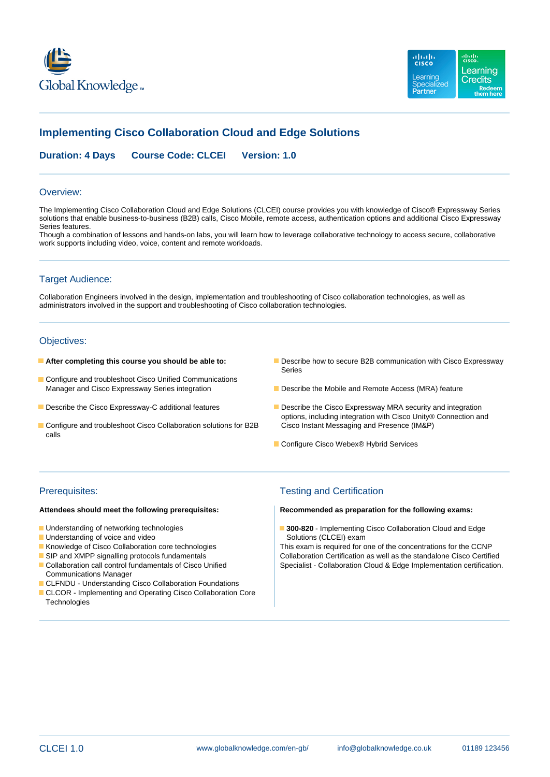



# **Implementing Cisco Collaboration Cloud and Edge Solutions**

**Duration: 4 Days Course Code: CLCEI Version: 1.0**

### Overview:

The Implementing Cisco Collaboration Cloud and Edge Solutions (CLCEI) course provides you with knowledge of Cisco® Expressway Series solutions that enable business-to-business (B2B) calls, Cisco Mobile, remote access, authentication options and additional Cisco Expressway Series features.

Though a combination of lessons and hands-on labs, you will learn how to leverage collaborative technology to access secure, collaborative work supports including video, voice, content and remote workloads.

## Target Audience:

Collaboration Engineers involved in the design, implementation and troubleshooting of Cisco collaboration technologies, as well as administrators involved in the support and troubleshooting of Cisco collaboration technologies.

## Objectives:

- 
- Configure and troubleshoot Cisco Unified Communications Manager and Cisco Expressway Series integration Describe the Mobile and Remote Access (MRA) feature
- 
- Configure and troubleshoot Cisco Collaboration solutions for B2B Cisco Instant Messaging and Presence (IM&P) calls
- **After completing this course you should be able to: Describe how to secure B2B communication with Cisco Expressway** Series
	-
- Describe the Cisco Expressway-C additional features Describe the Cisco Expressway MRA security and integration options, including integration with Cisco Unity® Connection and
	- Configure Cisco Webex® Hybrid Services

- 
- Understanding of voice and video Solutions (CLCEI) exam
- 
- 
- Communications Manager
- CLFNDU Understanding Cisco Collaboration Foundations
- CLCOR Implementing and Operating Cisco Collaboration Core **Technologies**

## Prerequisites: Testing and Certification

### **Attendees should meet the following prerequisites: Recommended as preparation for the following exams:**

Understanding of networking technologies **300-820** - Implementing Cisco Collaboration Cloud and Edge

Knowledge of Cisco Collaboration core technologies This exam is required for one of the concentrations for the CCNP **SIP and XMPP signalling protocols fundamentals** Collaboration Certification as well as the standalone Cisco Certified Collaboration call control fundamentals of Cisco Unified Specialist - Collaboration Cloud & Edge Implementation certification.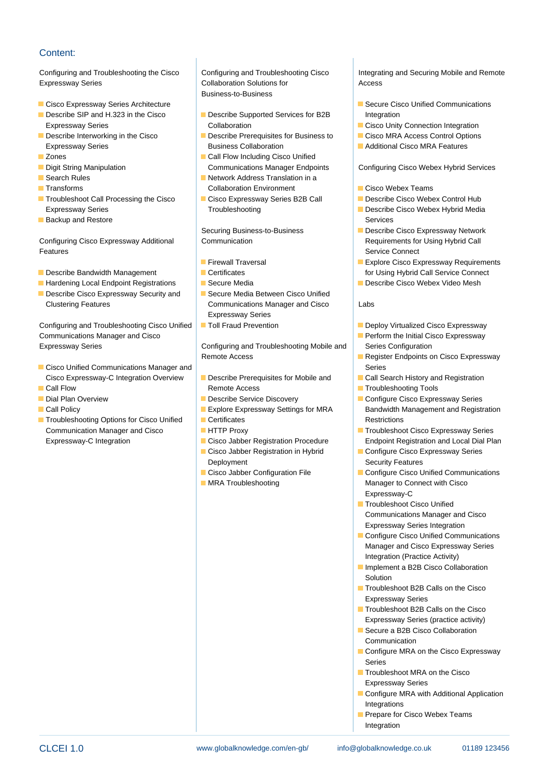## Content:

Expressway Series **Collaboration Solutions for** Access

- Cisco Expressway Series Architecture line Secure Cisco Unified Communications
- 
- 
- 
- 
- 
- 
- Troubleshoot Call Processing the Cisco 
Cisco Expressway Series B2B Call Describe Cisco Webex Control Hub Expressway Series **Troubleshooting** Troubleshooting **Describe Cisco Webex Hybrid Media**
- **Backup and Restore Services** Services **Services** Services **Services** Services

Configuring Cisco Expressway Additional Communication Communication Requirements for Using Hybrid Call **Features line Service Connect Service Connect Service Connect Service Connect Service Connect Service Connect** 

- 
- Hardening Local Endpoint Registrations Secure Media Network Cisco Webex Video Mesh
- Describe Cisco Expressway Security and Secure Media Between Cisco Unified Clustering Features Communications Manager and Cisco Labs

Configuring and Troubleshooting Cisco Unified Toll Fraud Prevention Toll Toll Beploy Virtualized Cisco Expressway Communications Manager and Cisco **Perform the Initial Cisco Expressway** Expressway Series **Configuring and Troubleshooting Mobile and Series Configuration** 

- **Cisco Unified Communications Manager and line Series Series Series** Series Cisco Expressway-C Integration Overview **D** Describe Prerequisites for Mobile and **Call Search History and Registration**
- 
- 
- 
- **The Troubleshooting Options for Cisco Unified Certificates Restrictions** Restrictions Communication Manager and Cisco **HETTP Proxy** Troubleshoot Cisco Expressway Series

**Business-to-Business** 

- Describe SIP and H.323 in the Cisco **Describe Supported Services for B2B** Integration Expressway Series **Collaboration** Collaboration Collaboration Collaboration **Collaboration** Collaboration **Collaboration**
- Describe Interworking in the Cisco Describe Prerequisites for Business to Cisco MRA Access Control Options Expressway Series **Business Collaboration** Business Collaboration **Additional Cisco MRA Features**
- **Example 2** Zones Call Flow Including Cisco Unified **Digit String Manipulation** Communications Manager Endpoints Configuring Cisco Webex Hybrid Services
- Search Rules Network Address Translation in a Transforms Collaboration Environment Cisco Webex Teams
	-

- 
- 
- 
- Expressway Series
- 

Remote Access **Remote Access** Remote Access Remote Access Remote Access Remote Access Remote Access Remote Register Endpoints on Cisco Expressway

- **Call Flow Remote Access** Troubleshooting Tools **Troubleshooting Tools** 
	-
	-
	-
	-
	- Cisco Jabber Registration in Hybrid Configure Cisco Expressway Series Deployment **Security Features** Security Features
	-
	-

Configuring and Troubleshooting the Cisco Configuring and Troubleshooting Cisco Integrating and Securing Mobile and Remote

- 
- 
- 
- 

- 
- 
- 
- Securing Business-to-Business Describe Cisco Expressway Network
- **Explore Cisco Expressway Requirements** ■ Describe Bandwidth Management **For Certificates** for Using Hybrid Call Service Connect
	-

- 
- 
- 
- 
- 
- Dial Plan Overview Discovery Discovery Discovery Discovery Discovery Discovery Configure Cisco Expressway Series **Explore Expressway Settings for MRA** Bandwidth Management and Registration
	- Expressway-C Integration City Cisco Jabber Registration Procedure Endpoint Registration and Local Dial Plan
		-
		- Cisco Jabber Configuration File Configure Cisco Unified Communications **MRA Troubleshooting Manager to Connect with Cisco** Expressway-C
			- **Troubleshoot Cisco Unified** Communications Manager and Cisco Expressway Series Integration
			- Configure Cisco Unified Communications Manager and Cisco Expressway Series Integration (Practice Activity)
			- **Implement a B2B Cisco Collaboration** Solution
			- **Troubleshoot B2B Calls on the Cisco** Expressway Series
			- **Troubleshoot B2B Calls on the Cisco** Expressway Series (practice activity)
			- Secure a B2B Cisco Collaboration Communication
			- Configure MRA on the Cisco Expressway Series
			- **Troubleshoot MRA on the Cisco** Expressway Series
			- Configure MRA with Additional Application Integrations
			- Prepare for Cisco Webex Teams Integration